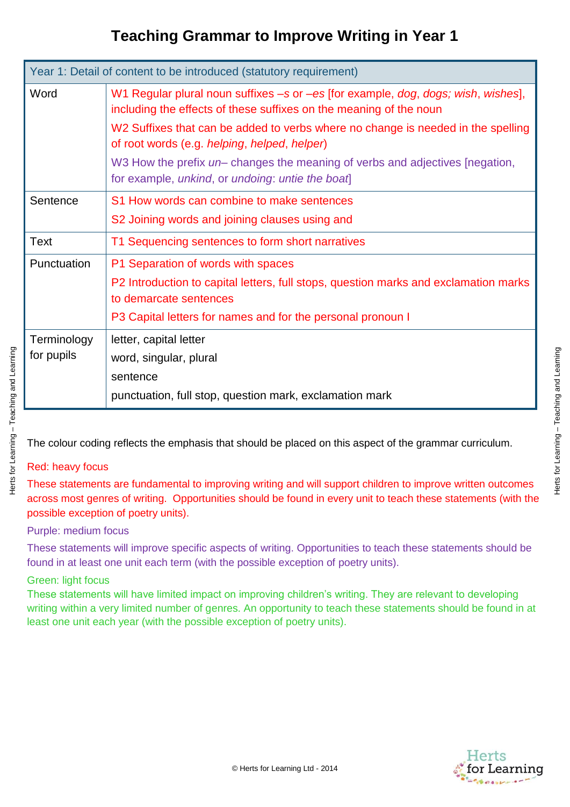| Year 1: Detail of content to be introduced (statutory requirement) |                                                                                                                                                         |  |
|--------------------------------------------------------------------|---------------------------------------------------------------------------------------------------------------------------------------------------------|--|
| Word                                                               | W1 Regular plural noun suffixes -s or -es [for example, dog, dogs; wish, wishes],<br>including the effects of these suffixes on the meaning of the noun |  |
|                                                                    | W2 Suffixes that can be added to verbs where no change is needed in the spelling<br>of root words (e.g. helping, helped, helper)                        |  |
|                                                                    | W3 How the prefix un-changes the meaning of verbs and adjectives [negation,<br>for example, unkind, or undoing: untie the boat                          |  |
| Sentence                                                           | S1 How words can combine to make sentences                                                                                                              |  |
|                                                                    | S2 Joining words and joining clauses using and                                                                                                          |  |
| Text                                                               | T1 Sequencing sentences to form short narratives                                                                                                        |  |
| Punctuation                                                        | P1 Separation of words with spaces                                                                                                                      |  |
|                                                                    | P2 Introduction to capital letters, full stops, question marks and exclamation marks<br>to demarcate sentences                                          |  |
|                                                                    | P3 Capital letters for names and for the personal pronoun I                                                                                             |  |
| Terminology                                                        | letter, capital letter                                                                                                                                  |  |
| for pupils                                                         | word, singular, plural                                                                                                                                  |  |
|                                                                    | sentence                                                                                                                                                |  |
|                                                                    | punctuation, full stop, question mark, exclamation mark                                                                                                 |  |

The colour coding reflects the emphasis that should be placed on this aspect of the grammar curriculum.

## Red: heavy focus

Herts for Learning – Teaching and Learning

Herts for Learning - Teaching and Learning

These statements are fundamental to improving writing and will support children to improve written outcomes across most genres of writing. Opportunities should be found in every unit to teach these statements (with the possible exception of poetry units).

### Purple: medium focus

These statements will improve specific aspects of writing. Opportunities to teach these statements should be found in at least one unit each term (with the possible exception of poetry units).

### Green: light focus

These statements will have limited impact on improving children's writing. They are relevant to developing writing within a very limited number of genres. An opportunity to teach these statements should be found in at least one unit each year (with the possible exception of poetry units).

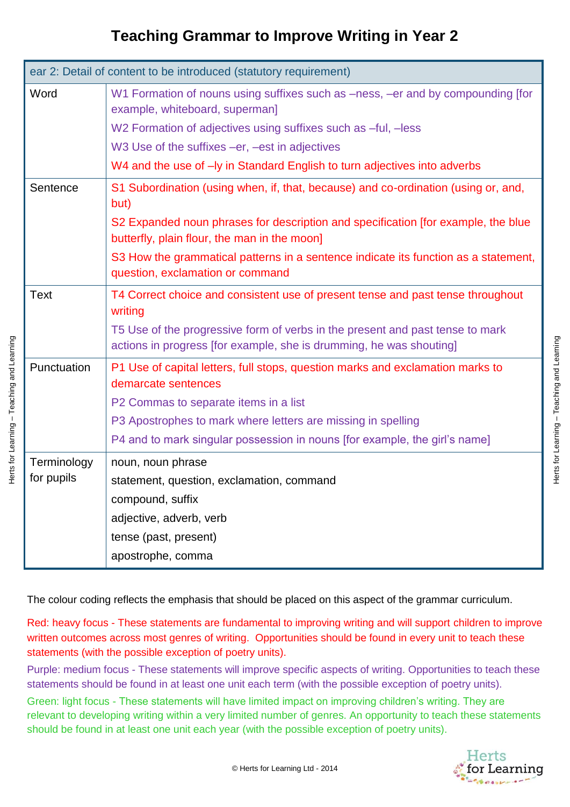| ear 2: Detail of content to be introduced (statutory requirement) |                                                                                                                                   |  |
|-------------------------------------------------------------------|-----------------------------------------------------------------------------------------------------------------------------------|--|
| Word                                                              | W1 Formation of nouns using suffixes such as -ness, -er and by compounding [for<br>example, whiteboard, superman]                 |  |
|                                                                   | W2 Formation of adjectives using suffixes such as -ful, -less                                                                     |  |
|                                                                   | W3 Use of the suffixes -er, -est in adjectives                                                                                    |  |
|                                                                   | W4 and the use of - ly in Standard English to turn adjectives into adverbs                                                        |  |
| Sentence                                                          | S1 Subordination (using when, if, that, because) and co-ordination (using or, and,<br>but)                                        |  |
|                                                                   | S2 Expanded noun phrases for description and specification [for example, the blue<br>butterfly, plain flour, the man in the moon] |  |
|                                                                   | S3 How the grammatical patterns in a sentence indicate its function as a statement,<br>question, exclamation or command           |  |
| <b>Text</b>                                                       | T4 Correct choice and consistent use of present tense and past tense throughout<br>writing                                        |  |
|                                                                   | T5 Use of the progressive form of verbs in the present and past tense to mark                                                     |  |
|                                                                   | actions in progress [for example, she is drumming, he was shouting]                                                               |  |
| Punctuation                                                       | P1 Use of capital letters, full stops, question marks and exclamation marks to<br>demarcate sentences                             |  |
|                                                                   | P2 Commas to separate items in a list                                                                                             |  |
|                                                                   | P3 Apostrophes to mark where letters are missing in spelling                                                                      |  |
|                                                                   | P4 and to mark singular possession in nouns [for example, the girl's name]                                                        |  |
| Terminology                                                       | noun, noun phrase                                                                                                                 |  |
| for pupils                                                        | statement, question, exclamation, command                                                                                         |  |
|                                                                   | compound, suffix                                                                                                                  |  |
|                                                                   | adjective, adverb, verb                                                                                                           |  |
|                                                                   | tense (past, present)                                                                                                             |  |
|                                                                   | apostrophe, comma                                                                                                                 |  |

The colour coding reflects the emphasis that should be placed on this aspect of the grammar curriculum.

Red: heavy focus - These statements are fundamental to improving writing and will support children to improve written outcomes across most genres of writing. Opportunities should be found in every unit to teach these statements (with the possible exception of poetry units).

Purple: medium focus - These statements will improve specific aspects of writing. Opportunities to teach these statements should be found in at least one unit each term (with the possible exception of poetry units).

Green: light focus - These statements will have limited impact on improving children's writing. They are relevant to developing writing within a very limited number of genres. An opportunity to teach these statements should be found in at least one unit each year (with the possible exception of poetry units).



Herts for Learning – Teaching and Learning

Herts for Learning - Teaching and Learning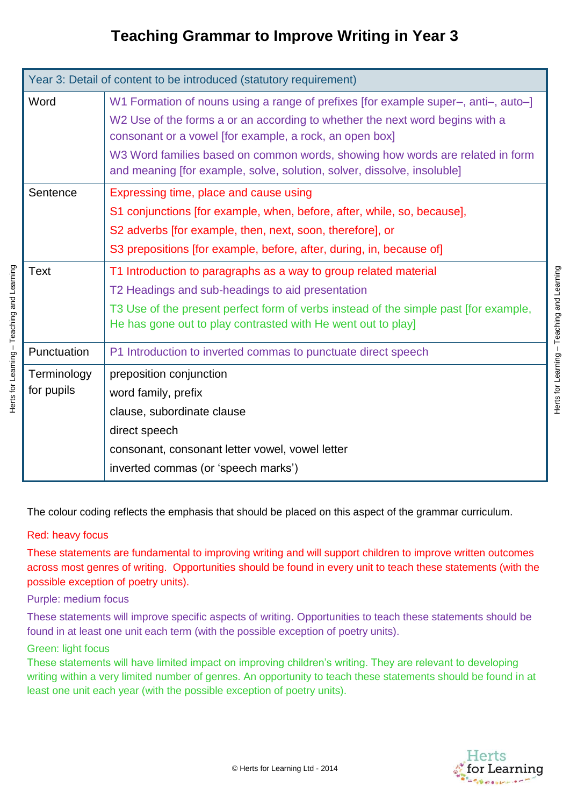| Year 3: Detail of content to be introduced (statutory requirement) |                                                                                                                                                                                                                                                                                                                                                                                           |  |
|--------------------------------------------------------------------|-------------------------------------------------------------------------------------------------------------------------------------------------------------------------------------------------------------------------------------------------------------------------------------------------------------------------------------------------------------------------------------------|--|
| Word                                                               | W1 Formation of nouns using a range of prefixes [for example super-, anti-, auto-]<br>W2 Use of the forms a or an according to whether the next word begins with a<br>consonant or a vowel [for example, a rock, an open box]<br>W3 Word families based on common words, showing how words are related in form<br>and meaning [for example, solve, solution, solver, dissolve, insoluble] |  |
| Sentence                                                           | Expressing time, place and cause using<br>S1 conjunctions [for example, when, before, after, while, so, because],<br>S2 adverbs [for example, then, next, soon, therefore], or<br>S3 prepositions [for example, before, after, during, in, because of]                                                                                                                                    |  |
| Text                                                               | T1 Introduction to paragraphs as a way to group related material<br>T2 Headings and sub-headings to aid presentation<br>T3 Use of the present perfect form of verbs instead of the simple past [for example,<br>He has gone out to play contrasted with He went out to play]                                                                                                              |  |
| Punctuation                                                        | P1 Introduction to inverted commas to punctuate direct speech                                                                                                                                                                                                                                                                                                                             |  |
| Terminology<br>for pupils                                          | preposition conjunction<br>word family, prefix<br>clause, subordinate clause<br>direct speech<br>consonant, consonant letter vowel, vowel letter<br>inverted commas (or 'speech marks')                                                                                                                                                                                                   |  |

The colour coding reflects the emphasis that should be placed on this aspect of the grammar curriculum.

### Red: heavy focus

These statements are fundamental to improving writing and will support children to improve written outcomes across most genres of writing. Opportunities should be found in every unit to teach these statements (with the possible exception of poetry units).

### Purple: medium focus

These statements will improve specific aspects of writing. Opportunities to teach these statements should be found in at least one unit each term (with the possible exception of poetry units).

### Green: light focus

These statements will have limited impact on improving children's writing. They are relevant to developing writing within a very limited number of genres. An opportunity to teach these statements should be found in at least one unit each year (with the possible exception of poetry units).



Herts for Learning – Teaching and Learning

Herts for Learning - Teaching and Learning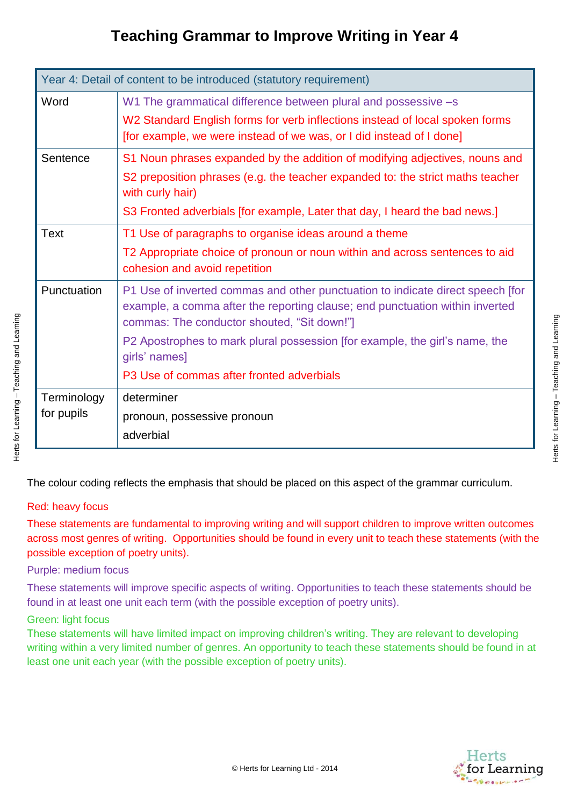| Year 4: Detail of content to be introduced (statutory requirement) |                                                                                                                                                                                                               |  |
|--------------------------------------------------------------------|---------------------------------------------------------------------------------------------------------------------------------------------------------------------------------------------------------------|--|
| Word                                                               | W1 The grammatical difference between plural and possessive -s                                                                                                                                                |  |
|                                                                    | W2 Standard English forms for verb inflections instead of local spoken forms                                                                                                                                  |  |
|                                                                    | [for example, we were instead of we was, or I did instead of I done]                                                                                                                                          |  |
| Sentence                                                           | S1 Noun phrases expanded by the addition of modifying adjectives, nouns and                                                                                                                                   |  |
|                                                                    | S2 preposition phrases (e.g. the teacher expanded to: the strict maths teacher<br>with curly hair)                                                                                                            |  |
|                                                                    | S3 Fronted adverbials [for example, Later that day, I heard the bad news.]                                                                                                                                    |  |
| <b>Text</b>                                                        | T1 Use of paragraphs to organise ideas around a theme                                                                                                                                                         |  |
|                                                                    | T2 Appropriate choice of pronoun or noun within and across sentences to aid<br>cohesion and avoid repetition                                                                                                  |  |
| Punctuation                                                        | P1 Use of inverted commas and other punctuation to indicate direct speech [for<br>example, a comma after the reporting clause; end punctuation within inverted<br>commas: The conductor shouted, "Sit down!"] |  |
|                                                                    | P2 Apostrophes to mark plural possession [for example, the girl's name, the<br>girls' names]                                                                                                                  |  |
|                                                                    | P3 Use of commas after fronted adverbials                                                                                                                                                                     |  |
| Terminology                                                        | determiner                                                                                                                                                                                                    |  |
| for pupils                                                         | pronoun, possessive pronoun                                                                                                                                                                                   |  |
|                                                                    | adverbial                                                                                                                                                                                                     |  |

The colour coding reflects the emphasis that should be placed on this aspect of the grammar curriculum.

### Red: heavy focus

These statements are fundamental to improving writing and will support children to improve written outcomes across most genres of writing. Opportunities should be found in every unit to teach these statements (with the possible exception of poetry units).

### Purple: medium focus

These statements will improve specific aspects of writing. Opportunities to teach these statements should be found in at least one unit each term (with the possible exception of poetry units).

#### Green: light focus

These statements will have limited impact on improving children's writing. They are relevant to developing writing within a very limited number of genres. An opportunity to teach these statements should be found in at least one unit each year (with the possible exception of poetry units).

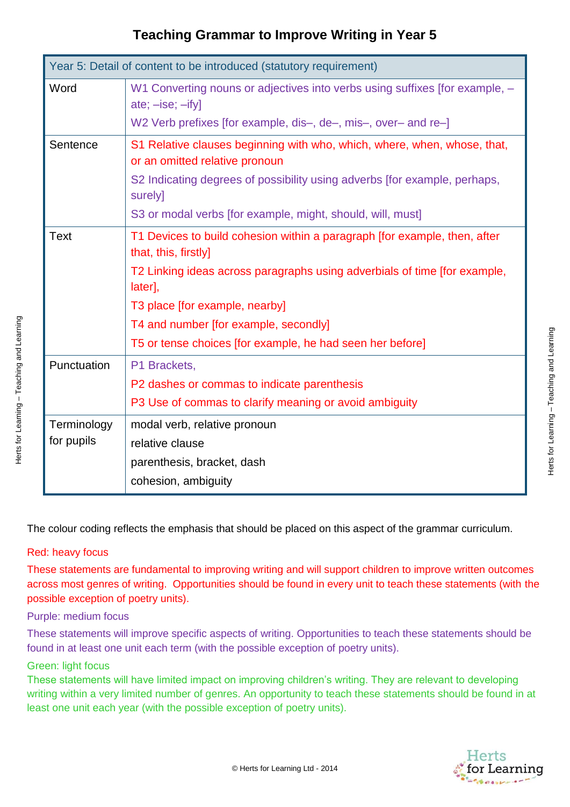| Year 5: Detail of content to be introduced (statutory requirement) |                                                                                                            |  |
|--------------------------------------------------------------------|------------------------------------------------------------------------------------------------------------|--|
| Word                                                               | W1 Converting nouns or adjectives into verbs using suffixes [for example, -<br>$ate$ ; $-ise$ ; $-ify$ ]   |  |
|                                                                    | W2 Verb prefixes [for example, dis-, de-, mis-, over- and re-]                                             |  |
| Sentence                                                           | S1 Relative clauses beginning with who, which, where, when, whose, that,<br>or an omitted relative pronoun |  |
|                                                                    | S2 Indicating degrees of possibility using adverbs [for example, perhaps,<br>surely]                       |  |
|                                                                    | S3 or modal verbs [for example, might, should, will, must]                                                 |  |
| <b>Text</b>                                                        | T1 Devices to build cohesion within a paragraph [for example, then, after<br>that, this, firstly]          |  |
|                                                                    | T2 Linking ideas across paragraphs using adverbials of time [for example,<br>later],                       |  |
|                                                                    | T3 place [for example, nearby]                                                                             |  |
|                                                                    | T4 and number [for example, secondly]                                                                      |  |
|                                                                    | T5 or tense choices [for example, he had seen her before]                                                  |  |
| Punctuation                                                        | P1 Brackets,                                                                                               |  |
|                                                                    | P2 dashes or commas to indicate parenthesis                                                                |  |
|                                                                    | P3 Use of commas to clarify meaning or avoid ambiguity                                                     |  |
| Terminology                                                        | modal verb, relative pronoun                                                                               |  |
| for pupils                                                         | relative clause                                                                                            |  |
|                                                                    | parenthesis, bracket, dash                                                                                 |  |
|                                                                    | cohesion, ambiguity                                                                                        |  |

The colour coding reflects the emphasis that should be placed on this aspect of the grammar curriculum.

### Red: heavy focus

Herts for Learning – Teaching and Learning

Herts for Learning - Teaching and Learning

These statements are fundamental to improving writing and will support children to improve written outcomes across most genres of writing. Opportunities should be found in every unit to teach these statements (with the possible exception of poetry units).

### Purple: medium focus

These statements will improve specific aspects of writing. Opportunities to teach these statements should be found in at least one unit each term (with the possible exception of poetry units).

### Green: light focus

These statements will have limited impact on improving children's writing. They are relevant to developing writing within a very limited number of genres. An opportunity to teach these statements should be found in at least one unit each year (with the possible exception of poetry units).